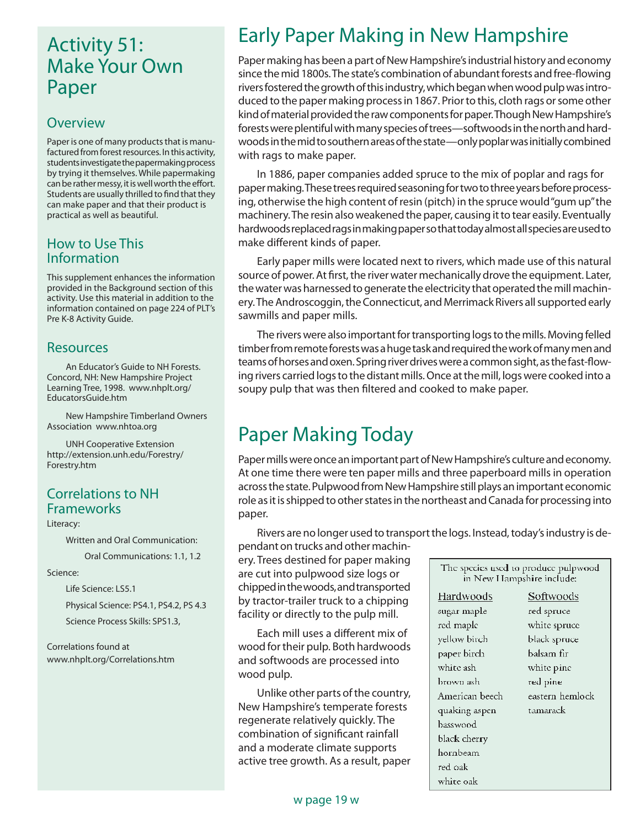# Activity 51: Make Your Own Paper

#### **Overview**

Paper is one of many products that is manufactured from forest resources. In this activity, students investigate the papermaking process by trying it themselves. While papermaking can be rather messy, it is well worth the effort. Students are usually thrilled to find that they can make paper and that their product is practical as well as beautiful.

#### How to Use This Information

This supplement enhances the information provided in the Background section of this activity. Use this material in addition to the information contained on page 224 of PLT's Pre K-8 Activity Guide.

#### Resources

An Educator's Guide to NH Forests. Concord, NH: New Hampshire Project Learning Tree, 1998. www.nhplt.org/ EducatorsGuide.htm

New Hampshire Timberland Owners Association www.nhtoa.org

UNH Cooperative Extension http://extension.unh.edu/Forestry/ Forestry.htm

### Correlations to NH Frameworks

Literacy:

Written and Oral Communication:

Oral Communications: 1.1, 1.2

#### Science:

Life Science: LS5.1

Physical Science: PS4.1, PS4.2, PS 4.3

Science Process Skills: SPS1.3,

Correlations found at www.nhplt.org/Correlations.htm

# Early Paper Making in New Hampshire

Paper making has been a part of New Hampshire's industrial history and economy since the mid 1800s. The state's combination of abundant forests and free-flowing rivers fostered the growth of this industry, which began when wood pulp was introduced to the paper making process in 1867. Prior to this, cloth rags or some other kind of material provided the raw components for paper. Though New Hampshire's forests were plentiful with many species of trees—softwoods in the north and hardwoods in the mid to southern areas of the state—only poplar was initially combined with rags to make paper.

In 1886, paper companies added spruce to the mix of poplar and rags for paper making. These trees required seasoning for two to three years before processing, otherwise the high content of resin (pitch) in the spruce would "gum up" the machinery. The resin also weakened the paper, causing it to tear easily. Eventually hardwoods replaced rags in making paper so that today almost all species are used to make different kinds of paper.

Early paper mills were located next to rivers, which made use of this natural source of power. At first, the river water mechanically drove the equipment. Later, the water was harnessed to generate the electricity that operated the mill machinery. The Androscoggin, the Connecticut, and Merrimack Rivers all supported early sawmills and paper mills.

The rivers were also important for transporting logs to the mills. Moving felled timber from remote forests was a huge task and required the work of many men and teams of horses and oxen. Spring river drives were a common sight, as the fast-flowing rivers carried logs to the distant mills. Once at the mill, logs were cooked into a soupy pulp that was then filtered and cooked to make paper.

# Paper Making Today

Paper mills were once an important part of New Hampshire's culture and economy. At one time there were ten paper mills and three paperboard mills in operation across the state. Pulpwood from New Hampshire still plays an important economic role as it is shipped to other states in the northeast and Canada for processing into paper.

Rivers are no longer used to transport the logs. Instead, today's industry is dependant on trucks and other machin-

ery. Trees destined for paper making are cut into pulpwood size logs or chipped in the woods, and transported by tractor-trailer truck to a chipping facility or directly to the pulp mill.

Each mill uses a different mix of wood for their pulp. Both hardwoods and softwoods are processed into wood pulp.

Unlike other parts of the country, New Hampshire's temperate forests regenerate relatively quickly. The combination of significant rainfall and a moderate climate supports active tree growth. As a result, paper

| The species used to produce pulpwood<br>in New Hampshire include: |                 |
|-------------------------------------------------------------------|-----------------|
| Hardwoods                                                         | Softwoods       |
| sugar maple                                                       | red spruce      |
| red maple                                                         | white spruce    |
| yellow birch                                                      | black spruce    |
| paper birch                                                       | balsam fir      |
| white ash                                                         | white pine      |
| brown ash                                                         | red pine        |
| American beech                                                    | eastern hemlock |
| quaking aspen                                                     | tamarack        |
| basswood                                                          |                 |
| black cherry                                                      |                 |
| hornbeam                                                          |                 |
| red oak                                                           |                 |
| white oak                                                         |                 |